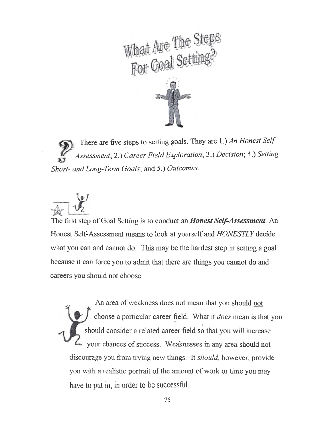

There are five steps to setting goals. They are 1.) *An Honest Self-Assessment*; 2.) *Career Field Exploration*; 3.) *Decision*; 4.) *Setting Short- and Long-Term Goals*; and 5.) *Outcomes.*



The first step of Goal Setting is to conduct an *Honest Self-Assessment*. An Honest Self-Assessment means to look at yourself and *HONESTLY* decide what you can and cannot do. This may be the hardest step in setting a goal because it can force you to admit that there are things you cannot do and careers you should not choose.

An area of weakness does not mean that you should not choose a particular career field. What it *does* mean is that you should consider a related career field so that you will increase your chances of success. Weaknesses in any area should not discourage you from trying new things. It *should*, however, provide you with a realistic portrait of the amount of work or time you may have to put in, in order to be successful.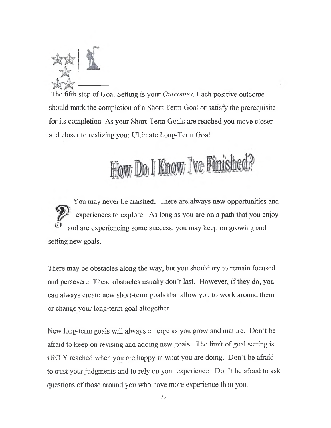

The fifth step of Goal Setting is your *Outcomes.* Each positive outcome should mark the completion of a Short-Term Goal or satisfy the prerequisite for its completion. As your Short-Term Goals are reached you move closer and closer to realizing your Ultimate Long-Term Goal.

How Do I Know I've Finished

You may never be finished. There are always new opportunities and experiences to explore. As long as you are on a path that you enjoy and are experiencing some success, you may keep on growing and setting new goals.

There may be obstacles along the way, but you should try to remain focused and persevere. These obstacles usually don't last. However, if they do, you can always create new short-term goals that allow you to work around them or change your long-term goal altogether.

New long-term goals will always emerge as you grow and mature. Don't be afraid to keep on revising and adding new goals. The limit of goal setting is ONLY reached when you are happy in what you are doing. Don't be afraid to trust your judgments and to rely on your experience. Don't be afraid to ask questions of those around you who have more experience than you.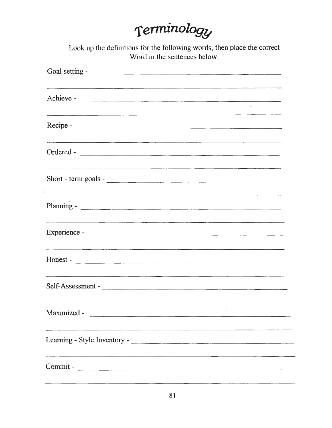# *Terminology*

Look up the definitions for the following words, then place the correct Word in the sentences below.

| Achieve -<br><u> 1999 - James Alexander, Amerikaansk politiker († 1908)</u>                                                         |  |
|-------------------------------------------------------------------------------------------------------------------------------------|--|
| <u> 2000 - Jan Barnett, mars et al. (b. 1989)</u>                                                                                   |  |
| Ordered -                                                                                                                           |  |
| Short - term goals -                                                                                                                |  |
| <u> 1990 - Jan Barbara (j. 1980).</u><br>1900 - Jan Barbara (j. 1900).                                                              |  |
|                                                                                                                                     |  |
| <u> 1986 - Andrea Station (b. 1986), andrea Station (b. 1986), andrea Station (b. 1986), andrea Station (b. 1986)</u><br>$Honest -$ |  |
|                                                                                                                                     |  |
| Maximized -                                                                                                                         |  |
| <u> 1950 - Jan Barat, Amerikaansk politiker († 1901)</u>                                                                            |  |
|                                                                                                                                     |  |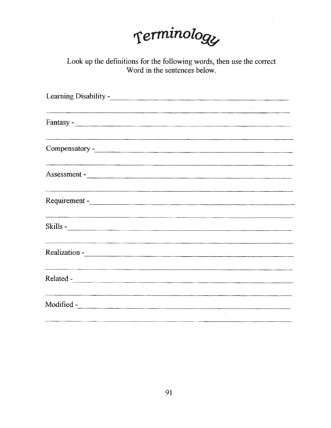

Look up the definitions for the following words, then use the correct Word in the sentences below.

| <u> 1980 - Jan James Samuel (f. 1980)</u>                                                                                                                                                                                                                                                                                                              |                                                               |
|--------------------------------------------------------------------------------------------------------------------------------------------------------------------------------------------------------------------------------------------------------------------------------------------------------------------------------------------------------|---------------------------------------------------------------|
|                                                                                                                                                                                                                                                                                                                                                        |                                                               |
|                                                                                                                                                                                                                                                                                                                                                        |                                                               |
|                                                                                                                                                                                                                                                                                                                                                        |                                                               |
| Assessment - <u>Contact of the contact of the contact of the contact of the contact of the contact of the contact of the contact of the contact of the contact of the contact of the contact of the contact of the contact of th</u>                                                                                                                   |                                                               |
| <u> 1980 - Jan James James James James James James James James James James James James James James James James J</u><br>Requirement - Contact the Contact of the Contact of the Contact of the Contact of the Contact of the Contact of the Contact of the Contact of the Contact of the Contact of the Contact of the Contact of the Contact of the C |                                                               |
| Skills - <u>Skills - Skills - Skills - Skills - Skills - Skills - Skills - Skills - Skills - Skills - Skills - Skills - Skills - Skills - Skills - Skills - Skills - Skills - Skills - Skills - Skills - Skills - Skills - Skill</u>                                                                                                                   |                                                               |
| <u> 1980 - An Aonaichte ann an Cathair ann an Cathair ann an Cathair ann an Cathair an C</u><br>Realization - Contact the Contact of the Contact of the Contact of the Contact of the Contact of the Contact of the Contact of the Contact of the Contact of the Contact of the Contact of the Contact of the Contact of the C                         |                                                               |
|                                                                                                                                                                                                                                                                                                                                                        |                                                               |
| Modified - The Commission of the Commission of the Commission of the Commission of the Commission of the Commission of the Commission of the Commission of the Commission of the Commission of the Commission of the Commissio                                                                                                                         | <u> 1989 - Johann John Stone, meil in der Stone (d. 1989)</u> |
|                                                                                                                                                                                                                                                                                                                                                        |                                                               |

 $\sim$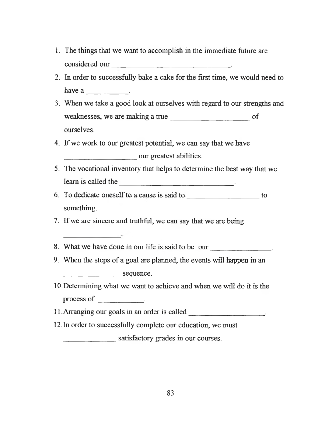- 1. The things that we want to accomplish in the immediate future are considered our
- 2. In order to successfully bake a cake for the first time, we would need to have a set of  $\sim$
- 3. When we take a good look at ourselves with regard to our strengths and weaknesses, we are making a true \_\_\_\_\_\_\_\_\_\_\_\_\_\_\_\_\_\_\_\_\_ of ourselves.
- 4. If we work to our greatest potential, we can say that we have our greatest abilities.
- 5. The vocational inventory that helps to determine the best way that we learn is called the  $\qquad \qquad$
- 6. To dedicate oneself to a cause is said to \_\_\_\_\_\_\_\_\_\_\_\_\_\_\_\_\_\_\_\_ to something.

7. If we are sincere and truthful, we can say that we are being

- 8. What we have done in our life is said to be our \_\_\_\_\_\_\_\_\_\_\_\_\_\_\_\_.
- 9. When the steps of a goal are planned, the events will happen in an sequence.
- 10. Determining what we want to achieve and when we will do it is the process of  $\qquad \qquad$

11. Arranging our goals in an order is called\_\_\_\_\_\_\_\_\_\_\_\_\_\_\_\_\_\_\_\_\_\_\_.

12.In order to successfully complete our education, we must

satisfactory grades in our courses.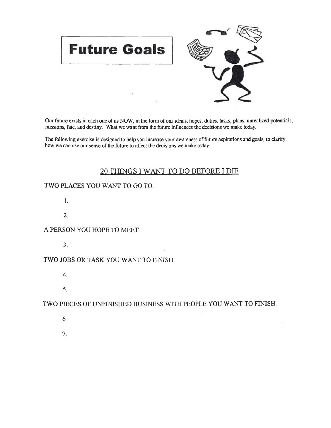

Our future exists in each one of us NOW, in the form of our ideals, hopes, duties, tasks, plans, unrealized potentials, missions, fate, and destiny. What we want from the future influences the decisions we make today.

The following exercise is designed to help you increase your awareness of future aspirations and goals, to clarify how we can use our sense of the future to affect the decisions we make today.

#### 20 THINGS I WANT TO DO BEFORE I DIE

#### TWO PLACES YOU WANT TO GO TO.

**1**.

**2**.

#### A PERSON YOU HOPE TO MEET.

3.

#### TWO JOBS OR TASK YOU WANT TO FINISH

- 4.
- 5.

#### TWO PIECES OF UNFINISHED BUSINESS WITH PEOPLE YOU WANT TO FINISH.

6. 7.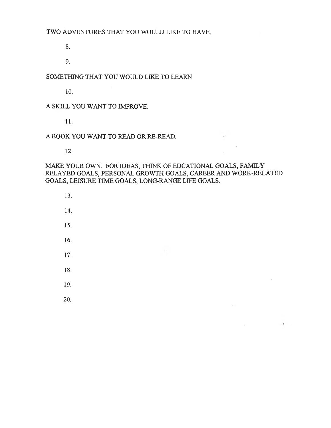8.

9.

#### SOMETHING THAT YOU WOULD LIKE TO LEARN

10.

#### A SKILL YOU WANT TO IMPROVE.

11.

#### A BOOK YOU WANT TO READ OR RE-READ.

12.

#### MAKE YOUR OWN. FOR IDEAS, THINK OF EDCATIONAL GOALS, FAMILY RELAYED GOALS, PERSONAL GROWTH GOALS, CAREER AND WORK-RELATED GOALS, LEISURE TIME GOALS, LONG-RANGE LIFE GOALS.

 $\sim$ 

 $\mathcal{A} \subset \mathcal{A}$ 

 $\sim$ 

 $\langle 2, 4 \rangle$ 

 $\sim$ 

and the company of the com-

- 13.
- 14.
- 15.
- 16.
- 17.
- 18.
- 19.
- 20.